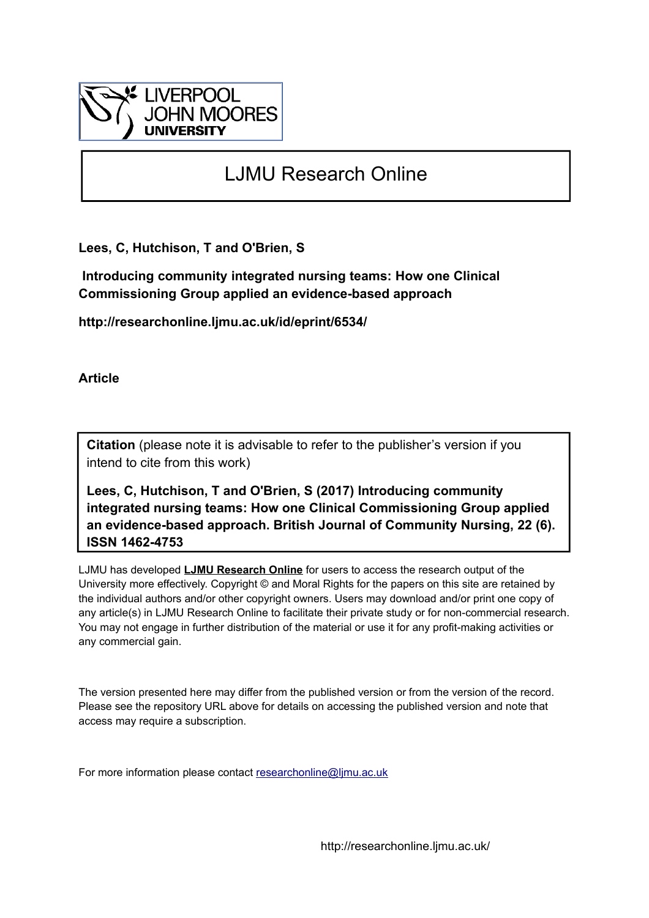

# LJMU Research Online

**Lees, C, Hutchison, T and O'Brien, S**

 **Introducing community integrated nursing teams: How one Clinical Commissioning Group applied an evidence-based approach**

**http://researchonline.ljmu.ac.uk/id/eprint/6534/**

**Article**

**Citation** (please note it is advisable to refer to the publisher's version if you intend to cite from this work)

**Lees, C, Hutchison, T and O'Brien, S (2017) Introducing community integrated nursing teams: How one Clinical Commissioning Group applied an evidence-based approach. British Journal of Community Nursing, 22 (6). ISSN 1462-4753** 

LJMU has developed **[LJMU Research Online](http://researchonline.ljmu.ac.uk/)** for users to access the research output of the University more effectively. Copyright © and Moral Rights for the papers on this site are retained by the individual authors and/or other copyright owners. Users may download and/or print one copy of any article(s) in LJMU Research Online to facilitate their private study or for non-commercial research. You may not engage in further distribution of the material or use it for any profit-making activities or any commercial gain.

The version presented here may differ from the published version or from the version of the record. Please see the repository URL above for details on accessing the published version and note that access may require a subscription.

For more information please contact [researchonline@ljmu.ac.uk](mailto:researchonline@ljmu.ac.uk)

http://researchonline.ljmu.ac.uk/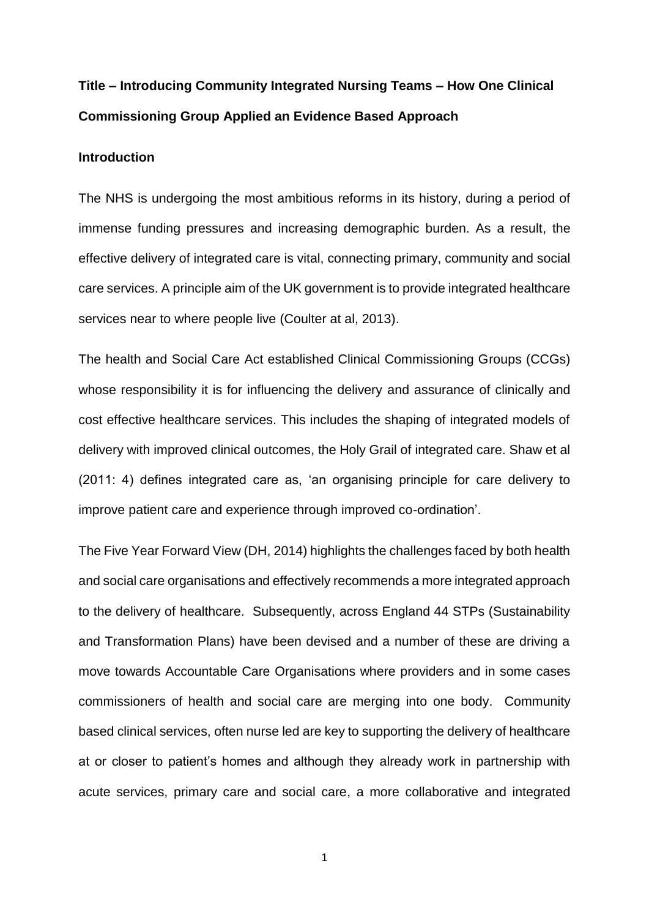## **Title – Introducing Community Integrated Nursing Teams – How One Clinical Commissioning Group Applied an Evidence Based Approach**

## **Introduction**

The NHS is undergoing the most ambitious reforms in its history, during a period of immense funding pressures and increasing demographic burden. As a result, the effective delivery of integrated care is vital, connecting primary, community and social care services. A principle aim of the UK government is to provide integrated healthcare services near to where people live (Coulter at al, 2013).

The health and Social Care Act established Clinical Commissioning Groups (CCGs) whose responsibility it is for influencing the delivery and assurance of clinically and cost effective healthcare services. This includes the shaping of integrated models of delivery with improved clinical outcomes, the Holy Grail of integrated care. Shaw et al (2011: 4) defines integrated care as, 'an organising principle for care delivery to improve patient care and experience through improved co-ordination'.

The Five Year Forward View (DH, 2014) highlights the challenges faced by both health and social care organisations and effectively recommends a more integrated approach to the delivery of healthcare. Subsequently, across England 44 STPs (Sustainability and Transformation Plans) have been devised and a number of these are driving a move towards Accountable Care Organisations where providers and in some cases commissioners of health and social care are merging into one body. Community based clinical services, often nurse led are key to supporting the delivery of healthcare at or closer to patient's homes and although they already work in partnership with acute services, primary care and social care, a more collaborative and integrated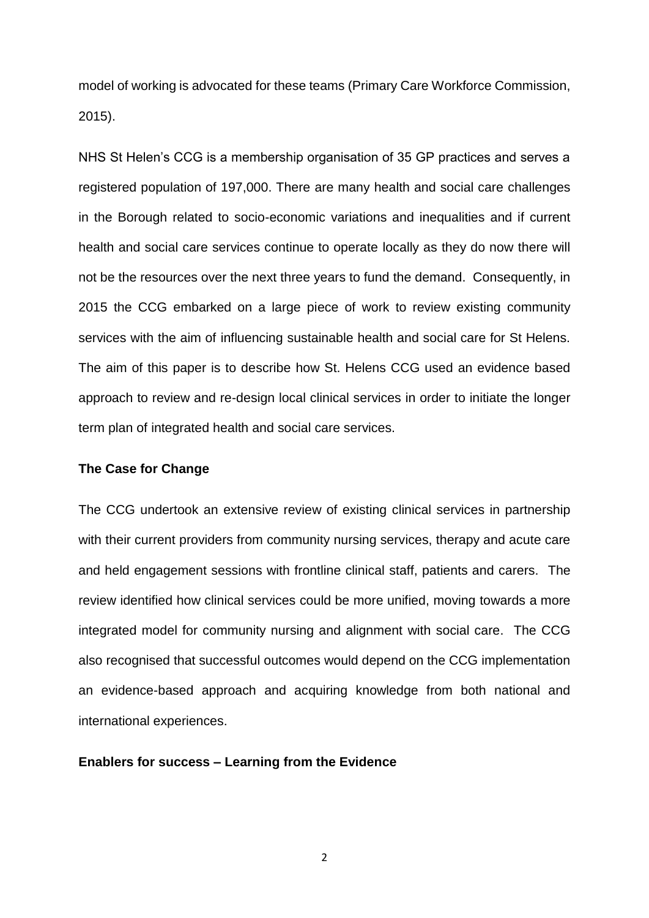model of working is advocated for these teams (Primary Care Workforce Commission, 2015).

NHS St Helen's CCG is a membership organisation of 35 GP practices and serves a registered population of 197,000. There are many health and social care challenges in the Borough related to socio-economic variations and inequalities and if current health and social care services continue to operate locally as they do now there will not be the resources over the next three years to fund the demand. Consequently, in 2015 the CCG embarked on a large piece of work to review existing community services with the aim of influencing sustainable health and social care for St Helens. The aim of this paper is to describe how St. Helens CCG used an evidence based approach to review and re-design local clinical services in order to initiate the longer term plan of integrated health and social care services.

#### **The Case for Change**

The CCG undertook an extensive review of existing clinical services in partnership with their current providers from community nursing services, therapy and acute care and held engagement sessions with frontline clinical staff, patients and carers. The review identified how clinical services could be more unified, moving towards a more integrated model for community nursing and alignment with social care. The CCG also recognised that successful outcomes would depend on the CCG implementation an evidence-based approach and acquiring knowledge from both national and international experiences.

#### **Enablers for success – Learning from the Evidence**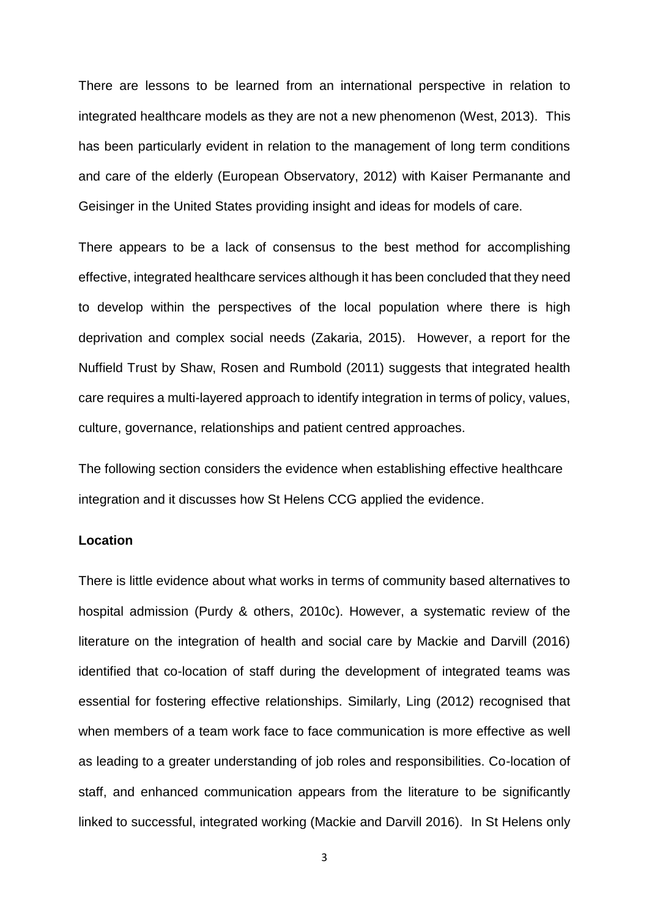There are lessons to be learned from an international perspective in relation to integrated healthcare models as they are not a new phenomenon (West, 2013). This has been particularly evident in relation to the management of long term conditions and care of the elderly (European Observatory, 2012) with Kaiser Permanante and Geisinger in the United States providing insight and ideas for models of care.

There appears to be a lack of consensus to the best method for accomplishing effective, integrated healthcare services although it has been concluded that they need to develop within the perspectives of the local population where there is high deprivation and complex social needs (Zakaria, 2015). However, a report for the Nuffield Trust by Shaw, Rosen and Rumbold (2011) suggests that integrated health care requires a multi-layered approach to identify integration in terms of policy, values, culture, governance, relationships and patient centred approaches.

The following section considers the evidence when establishing effective healthcare integration and it discusses how St Helens CCG applied the evidence.

## **Location**

There is little evidence about what works in terms of community based alternatives to hospital admission (Purdy & others, 2010c). However, a systematic review of the literature on the integration of health and social care by Mackie and Darvill (2016) identified that co-location of staff during the development of integrated teams was essential for fostering effective relationships. Similarly, Ling (2012) recognised that when members of a team work face to face communication is more effective as well as leading to a greater understanding of job roles and responsibilities. Co-location of staff, and enhanced communication appears from the literature to be significantly linked to successful, integrated working (Mackie and Darvill 2016). In St Helens only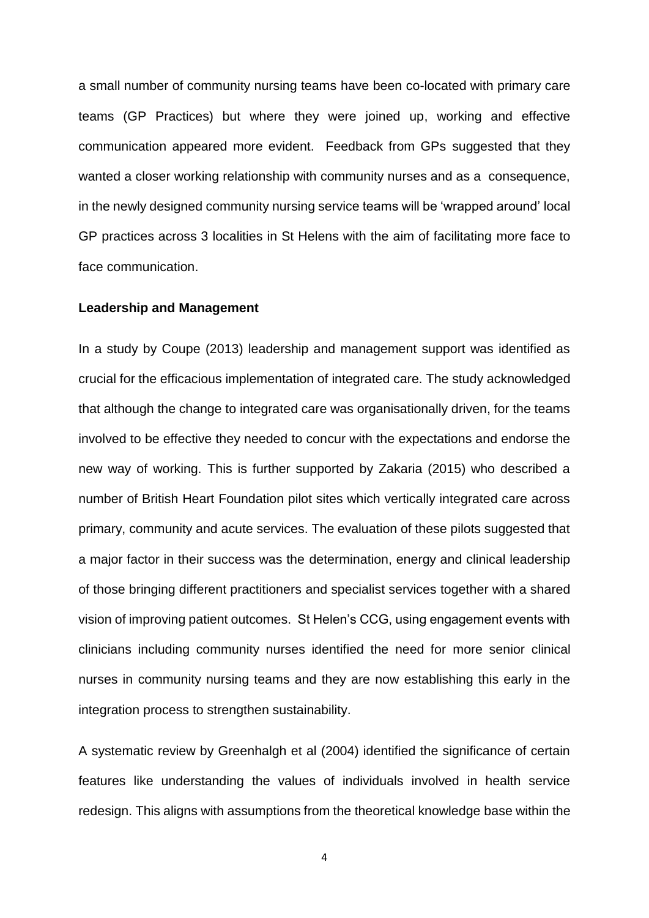a small number of community nursing teams have been co-located with primary care teams (GP Practices) but where they were joined up, working and effective communication appeared more evident. Feedback from GPs suggested that they wanted a closer working relationship with community nurses and as a consequence, in the newly designed community nursing service teams will be 'wrapped around' local GP practices across 3 localities in St Helens with the aim of facilitating more face to face communication.

#### **Leadership and Management**

In a study by Coupe (2013) leadership and management support was identified as crucial for the efficacious implementation of integrated care. The study acknowledged that although the change to integrated care was organisationally driven, for the teams involved to be effective they needed to concur with the expectations and endorse the new way of working. This is further supported by Zakaria (2015) who described a number of British Heart Foundation pilot sites which vertically integrated care across primary, community and acute services. The evaluation of these pilots suggested that a major factor in their success was the determination, energy and clinical leadership of those bringing different practitioners and specialist services together with a shared vision of improving patient outcomes. St Helen's CCG, using engagement events with clinicians including community nurses identified the need for more senior clinical nurses in community nursing teams and they are now establishing this early in the integration process to strengthen sustainability.

A systematic review by Greenhalgh et al (2004) identified the significance of certain features like understanding the values of individuals involved in health service redesign. This aligns with assumptions from the theoretical knowledge base within the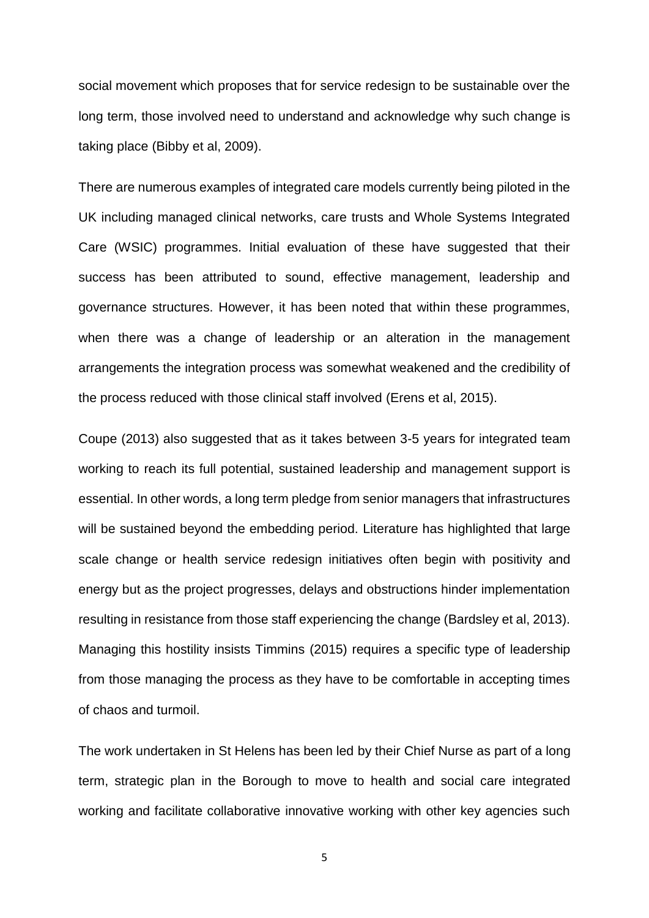social movement which proposes that for service redesign to be sustainable over the long term, those involved need to understand and acknowledge why such change is taking place (Bibby et al, 2009).

There are numerous examples of integrated care models currently being piloted in the UK including managed clinical networks, care trusts and Whole Systems Integrated Care (WSIC) programmes. Initial evaluation of these have suggested that their success has been attributed to sound, effective management, leadership and governance structures. However, it has been noted that within these programmes, when there was a change of leadership or an alteration in the management arrangements the integration process was somewhat weakened and the credibility of the process reduced with those clinical staff involved (Erens et al, 2015).

Coupe (2013) also suggested that as it takes between 3-5 years for integrated team working to reach its full potential, sustained leadership and management support is essential. In other words, a long term pledge from senior managers that infrastructures will be sustained beyond the embedding period. Literature has highlighted that large scale change or health service redesign initiatives often begin with positivity and energy but as the project progresses, delays and obstructions hinder implementation resulting in resistance from those staff experiencing the change (Bardsley et al, 2013). Managing this hostility insists Timmins (2015) requires a specific type of leadership from those managing the process as they have to be comfortable in accepting times of chaos and turmoil.

The work undertaken in St Helens has been led by their Chief Nurse as part of a long term, strategic plan in the Borough to move to health and social care integrated working and facilitate collaborative innovative working with other key agencies such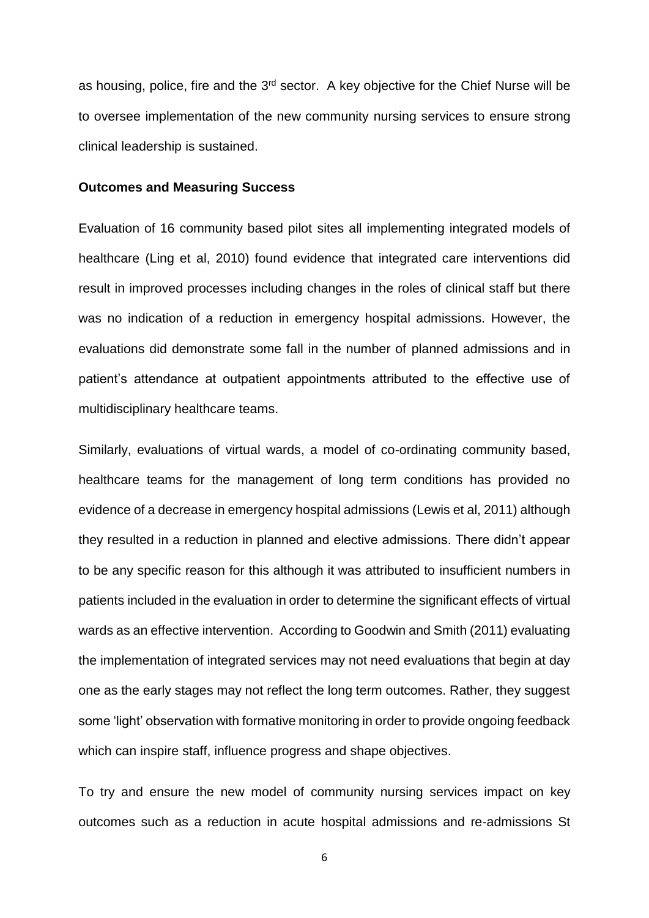as housing, police, fire and the 3<sup>rd</sup> sector. A key objective for the Chief Nurse will be to oversee implementation of the new community nursing services to ensure strong clinical leadership is sustained.

#### **Outcomes and Measuring Success**

Evaluation of 16 community based pilot sites all implementing integrated models of healthcare (Ling et al, 2010) found evidence that integrated care interventions did result in improved processes including changes in the roles of clinical staff but there was no indication of a reduction in emergency hospital admissions. However, the evaluations did demonstrate some fall in the number of planned admissions and in patient's attendance at outpatient appointments attributed to the effective use of multidisciplinary healthcare teams.

Similarly, evaluations of virtual wards, a model of co-ordinating community based, healthcare teams for the management of long term conditions has provided no evidence of a decrease in emergency hospital admissions (Lewis et al, 2011) although they resulted in a reduction in planned and elective admissions. There didn't appear to be any specific reason for this although it was attributed to insufficient numbers in patients included in the evaluation in order to determine the significant effects of virtual wards as an effective intervention. According to Goodwin and Smith (2011) evaluating the implementation of integrated services may not need evaluations that begin at day one as the early stages may not reflect the long term outcomes. Rather, they suggest some 'light' observation with formative monitoring in order to provide ongoing feedback which can inspire staff, influence progress and shape objectives.

To try and ensure the new model of community nursing services impact on key outcomes such as a reduction in acute hospital admissions and re-admissions St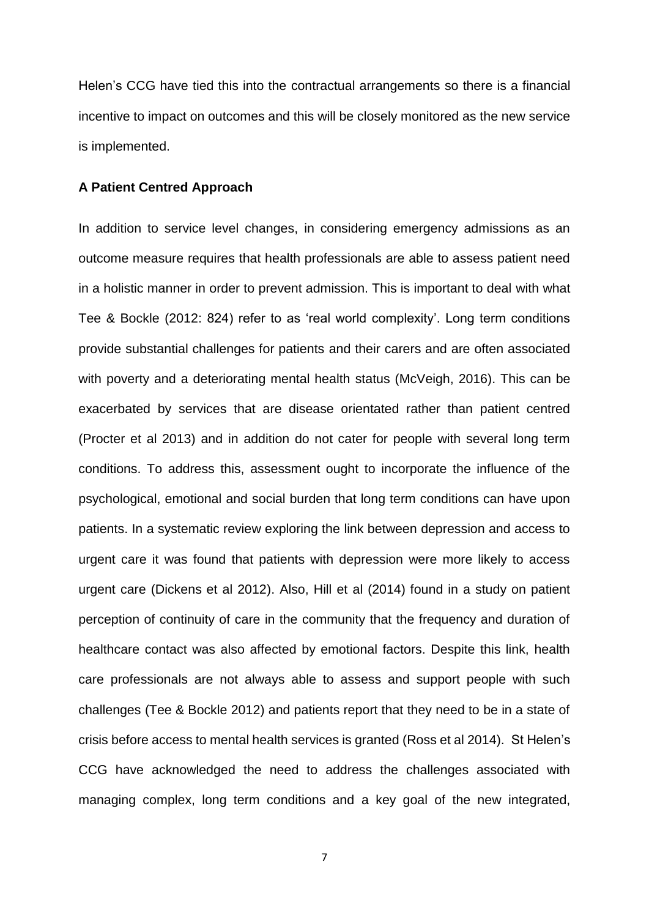Helen's CCG have tied this into the contractual arrangements so there is a financial incentive to impact on outcomes and this will be closely monitored as the new service is implemented.

#### **A Patient Centred Approach**

In addition to service level changes, in considering emergency admissions as an outcome measure requires that health professionals are able to assess patient need in a holistic manner in order to prevent admission. This is important to deal with what Tee & Bockle (2012: 824) refer to as 'real world complexity'. Long term conditions provide substantial challenges for patients and their carers and are often associated with poverty and a deteriorating mental health status (McVeigh, 2016). This can be exacerbated by services that are disease orientated rather than patient centred (Procter et al 2013) and in addition do not cater for people with several long term conditions. To address this, assessment ought to incorporate the influence of the psychological, emotional and social burden that long term conditions can have upon patients. In a systematic review exploring the link between depression and access to urgent care it was found that patients with depression were more likely to access urgent care (Dickens et al 2012). Also, Hill et al (2014) found in a study on patient perception of continuity of care in the community that the frequency and duration of healthcare contact was also affected by emotional factors. Despite this link, health care professionals are not always able to assess and support people with such challenges (Tee & Bockle 2012) and patients report that they need to be in a state of crisis before access to mental health services is granted (Ross et al 2014). St Helen's CCG have acknowledged the need to address the challenges associated with managing complex, long term conditions and a key goal of the new integrated,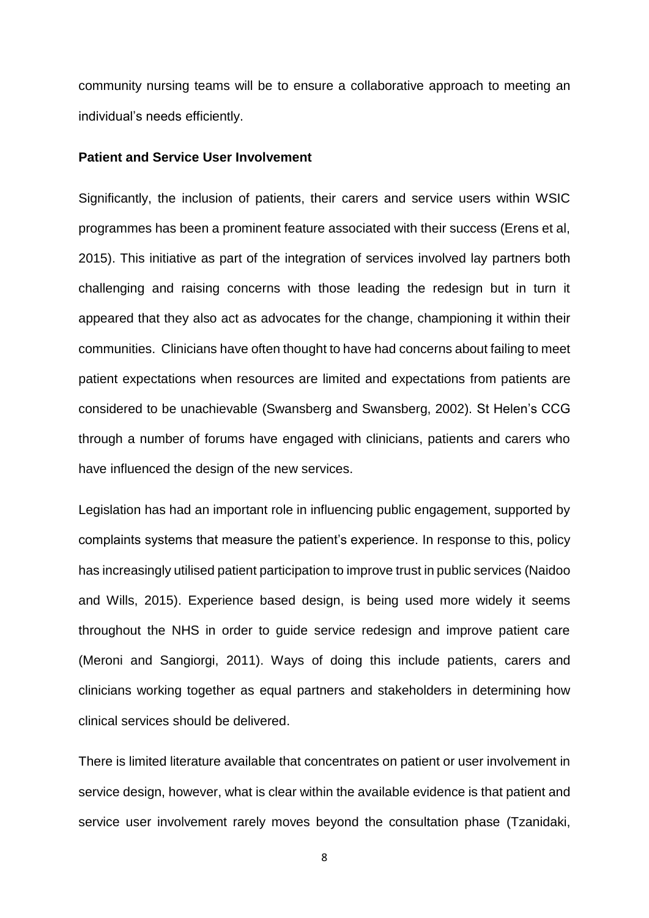community nursing teams will be to ensure a collaborative approach to meeting an individual's needs efficiently.

#### **Patient and Service User Involvement**

Significantly, the inclusion of patients, their carers and service users within WSIC programmes has been a prominent feature associated with their success (Erens et al, 2015). This initiative as part of the integration of services involved lay partners both challenging and raising concerns with those leading the redesign but in turn it appeared that they also act as advocates for the change, championing it within their communities. Clinicians have often thought to have had concerns about failing to meet patient expectations when resources are limited and expectations from patients are considered to be unachievable (Swansberg and Swansberg, 2002). St Helen's CCG through a number of forums have engaged with clinicians, patients and carers who have influenced the design of the new services.

Legislation has had an important role in influencing public engagement, supported by complaints systems that measure the patient's experience. In response to this, policy has increasingly utilised patient participation to improve trust in public services (Naidoo and Wills, 2015). Experience based design, is being used more widely it seems throughout the NHS in order to guide service redesign and improve patient care (Meroni and Sangiorgi, 2011). Ways of doing this include patients, carers and clinicians working together as equal partners and stakeholders in determining how clinical services should be delivered.

There is limited literature available that concentrates on patient or user involvement in service design, however, what is clear within the available evidence is that patient and service user involvement rarely moves beyond the consultation phase (Tzanidaki,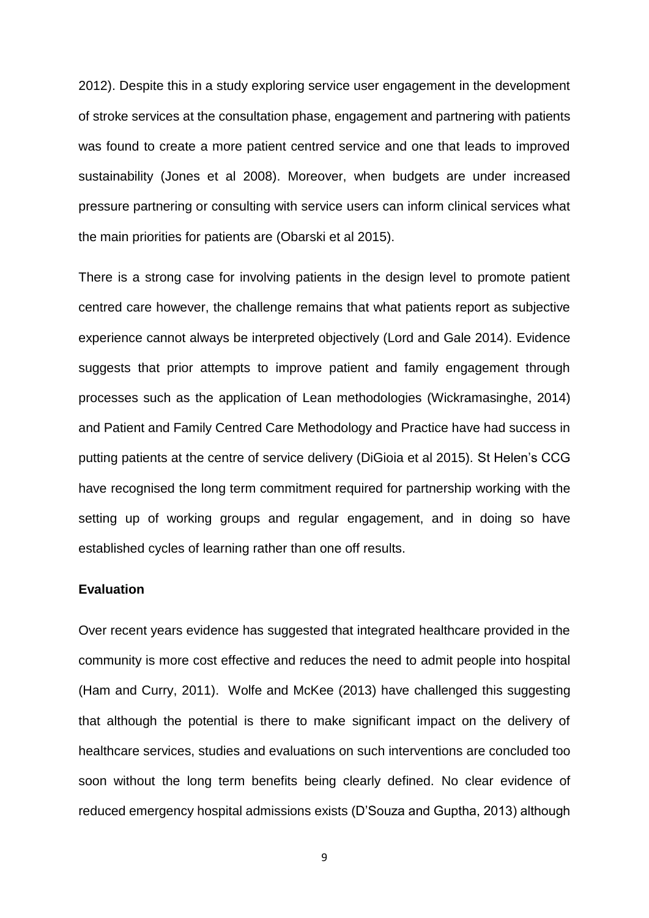2012). Despite this in a study exploring service user engagement in the development of stroke services at the consultation phase, engagement and partnering with patients was found to create a more patient centred service and one that leads to improved sustainability (Jones et al 2008). Moreover, when budgets are under increased pressure partnering or consulting with service users can inform clinical services what the main priorities for patients are (Obarski et al 2015).

There is a strong case for involving patients in the design level to promote patient centred care however, the challenge remains that what patients report as subjective experience cannot always be interpreted objectively (Lord and Gale 2014). Evidence suggests that prior attempts to improve patient and family engagement through processes such as the application of Lean methodologies (Wickramasinghe, 2014) and Patient and Family Centred Care Methodology and Practice have had success in putting patients at the centre of service delivery (DiGioia et al 2015). St Helen's CCG have recognised the long term commitment required for partnership working with the setting up of working groups and regular engagement, and in doing so have established cycles of learning rather than one off results.

## **Evaluation**

Over recent years evidence has suggested that integrated healthcare provided in the community is more cost effective and reduces the need to admit people into hospital (Ham and Curry, 2011). Wolfe and McKee (2013) have challenged this suggesting that although the potential is there to make significant impact on the delivery of healthcare services, studies and evaluations on such interventions are concluded too soon without the long term benefits being clearly defined. No clear evidence of reduced emergency hospital admissions exists (D'Souza and Guptha, 2013) although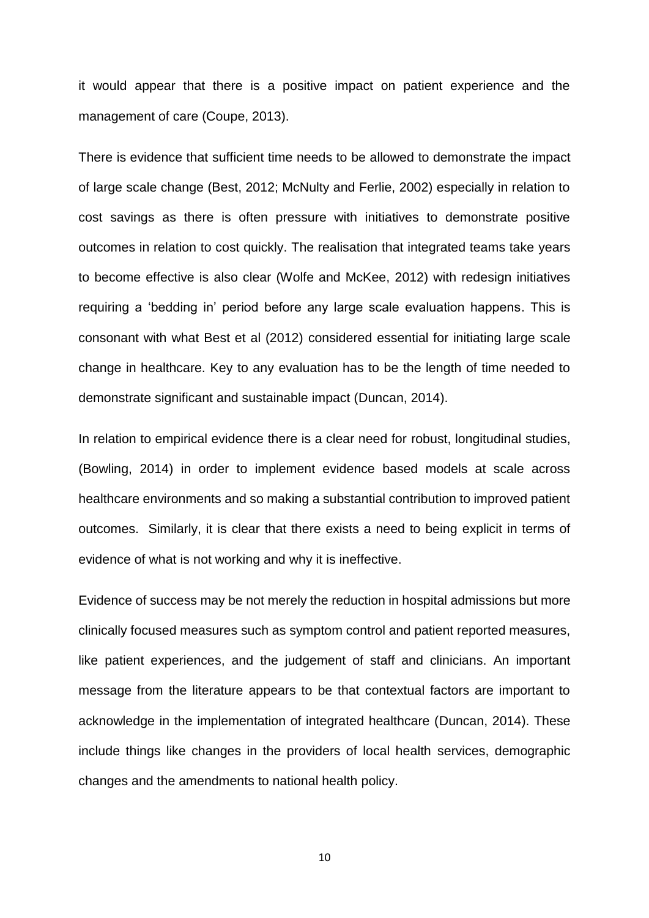it would appear that there is a positive impact on patient experience and the management of care (Coupe, 2013).

There is evidence that sufficient time needs to be allowed to demonstrate the impact of large scale change (Best, 2012; McNulty and Ferlie, 2002) especially in relation to cost savings as there is often pressure with initiatives to demonstrate positive outcomes in relation to cost quickly. The realisation that integrated teams take years to become effective is also clear (Wolfe and McKee, 2012) with redesign initiatives requiring a 'bedding in' period before any large scale evaluation happens. This is consonant with what Best et al (2012) considered essential for initiating large scale change in healthcare. Key to any evaluation has to be the length of time needed to demonstrate significant and sustainable impact (Duncan, 2014).

In relation to empirical evidence there is a clear need for robust, longitudinal studies, (Bowling, 2014) in order to implement evidence based models at scale across healthcare environments and so making a substantial contribution to improved patient outcomes. Similarly, it is clear that there exists a need to being explicit in terms of evidence of what is not working and why it is ineffective.

Evidence of success may be not merely the reduction in hospital admissions but more clinically focused measures such as symptom control and patient reported measures, like patient experiences, and the judgement of staff and clinicians. An important message from the literature appears to be that contextual factors are important to acknowledge in the implementation of integrated healthcare (Duncan, 2014). These include things like changes in the providers of local health services, demographic changes and the amendments to national health policy.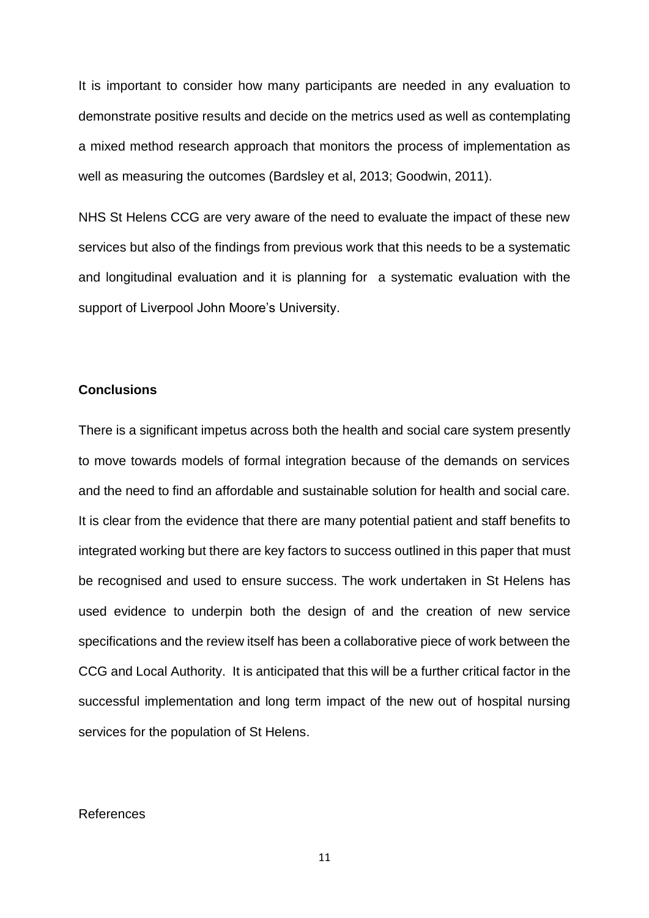It is important to consider how many participants are needed in any evaluation to demonstrate positive results and decide on the metrics used as well as contemplating a mixed method research approach that monitors the process of implementation as well as measuring the outcomes (Bardsley et al, 2013; Goodwin, 2011).

NHS St Helens CCG are very aware of the need to evaluate the impact of these new services but also of the findings from previous work that this needs to be a systematic and longitudinal evaluation and it is planning for a systematic evaluation with the support of Liverpool John Moore's University.

## **Conclusions**

There is a significant impetus across both the health and social care system presently to move towards models of formal integration because of the demands on services and the need to find an affordable and sustainable solution for health and social care. It is clear from the evidence that there are many potential patient and staff benefits to integrated working but there are key factors to success outlined in this paper that must be recognised and used to ensure success. The work undertaken in St Helens has used evidence to underpin both the design of and the creation of new service specifications and the review itself has been a collaborative piece of work between the CCG and Local Authority. It is anticipated that this will be a further critical factor in the successful implementation and long term impact of the new out of hospital nursing services for the population of St Helens.

#### References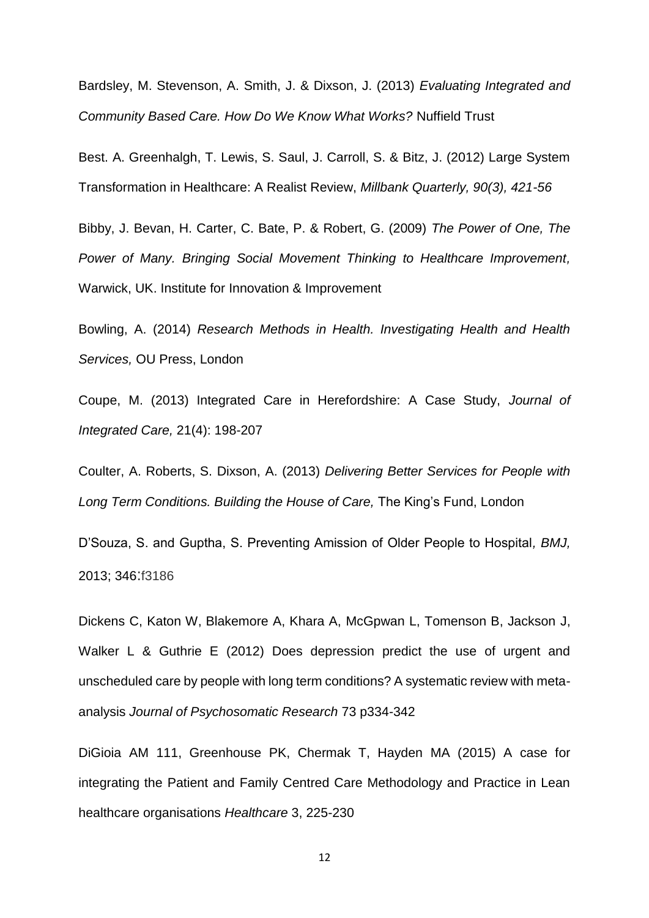Bardsley, M. Stevenson, A. Smith, J. & Dixson, J. (2013) *Evaluating Integrated and Community Based Care. How Do We Know What Works?* Nuffield Trust

Best. A. Greenhalgh, T. Lewis, S. Saul, J. Carroll, S. & Bitz, J. (2012) Large System Transformation in Healthcare: A Realist Review, *Millbank Quarterly, 90(3), 421-56*

Bibby, J. Bevan, H. Carter, C. Bate, P. & Robert, G. (2009) *The Power of One, The Power of Many. Bringing Social Movement Thinking to Healthcare Improvement,* Warwick, UK. Institute for Innovation & Improvement

Bowling, A. (2014) *Research Methods in Health. Investigating Health and Health Services,* OU Press, London

Coupe, M. (2013) Integrated Care in Herefordshire: A Case Study, *Journal of Integrated Care,* 21(4): 198-207

Coulter, A. Roberts, S. Dixson, A. (2013) *Delivering Better Services for People with Long Term Conditions. Building the House of Care,* The King's Fund, London

D'Souza, S. and Guptha, S. Preventing Amission of Older People to Hospital*, BMJ,* 2013; 346:f3186

Dickens C, Katon W, Blakemore A, Khara A, McGpwan L, Tomenson B, Jackson J, Walker L & Guthrie E (2012) Does depression predict the use of urgent and unscheduled care by people with long term conditions? A systematic review with metaanalysis *Journal of Psychosomatic Research* 73 p334-342

DiGioia AM 111, Greenhouse PK, Chermak T, Hayden MA (2015) A case for integrating the Patient and Family Centred Care Methodology and Practice in Lean healthcare organisations *Healthcare* 3, 225-230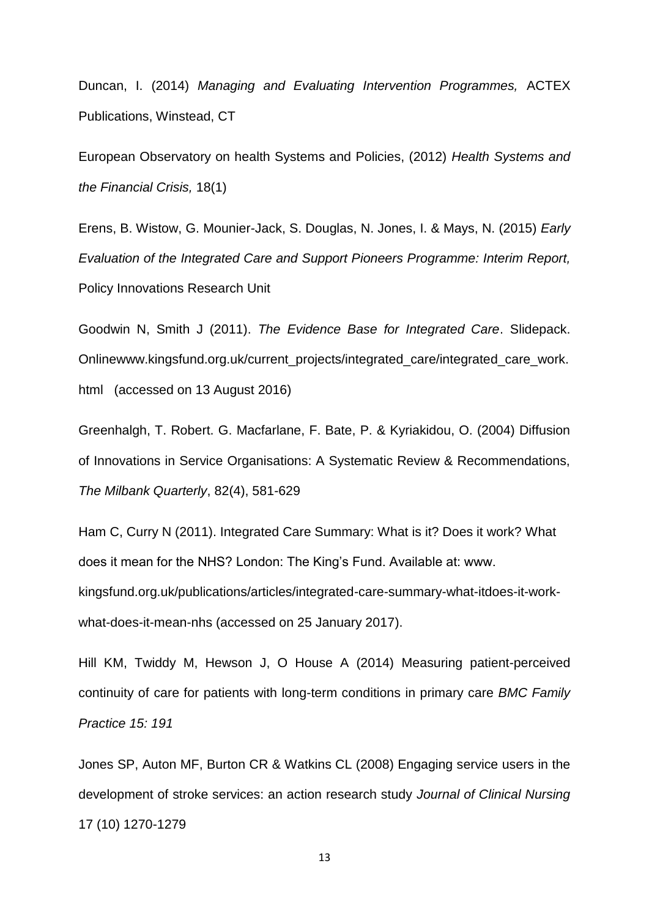Duncan, I. (2014) *Managing and Evaluating Intervention Programmes,* ACTEX Publications, Winstead, CT

European Observatory on health Systems and Policies, (2012) *Health Systems and the Financial Crisis,* 18(1)

Erens, B. Wistow, G. Mounier-Jack, S. Douglas, N. Jones, I. & Mays, N. (2015) *Early Evaluation of the Integrated Care and Support Pioneers Programme: Interim Report,* Policy Innovations Research Unit

Goodwin N, Smith J (2011). *The Evidence Base for Integrated Care*. Slidepack. Onlinewww.kingsfund.org.uk/current\_projects/integrated\_care/integrated\_care\_work. html (accessed on 13 August 2016)

Greenhalgh, T. Robert. G. Macfarlane, F. Bate, P. & Kyriakidou, O. (2004) Diffusion of Innovations in Service Organisations: A Systematic Review & Recommendations, *The Milbank Quarterly*, 82(4), 581-629

Ham C, Curry N (2011). Integrated Care Summary: What is it? Does it work? What does it mean for the NHS? London: The King's Fund. Available at: www. kingsfund.org.uk/publications/articles/integrated-care-summary-what-itdoes-it-workwhat-does-it-mean-nhs (accessed on 25 January 2017).

Hill KM, Twiddy M, Hewson J, O House A (2014) Measuring patient-perceived continuity of care for patients with long-term conditions in primary care *BMC Family Practice 15: 191*

Jones SP, Auton MF, Burton CR & Watkins CL (2008) Engaging service users in the development of stroke services: an action research study *Journal of Clinical Nursing*  17 (10) 1270-1279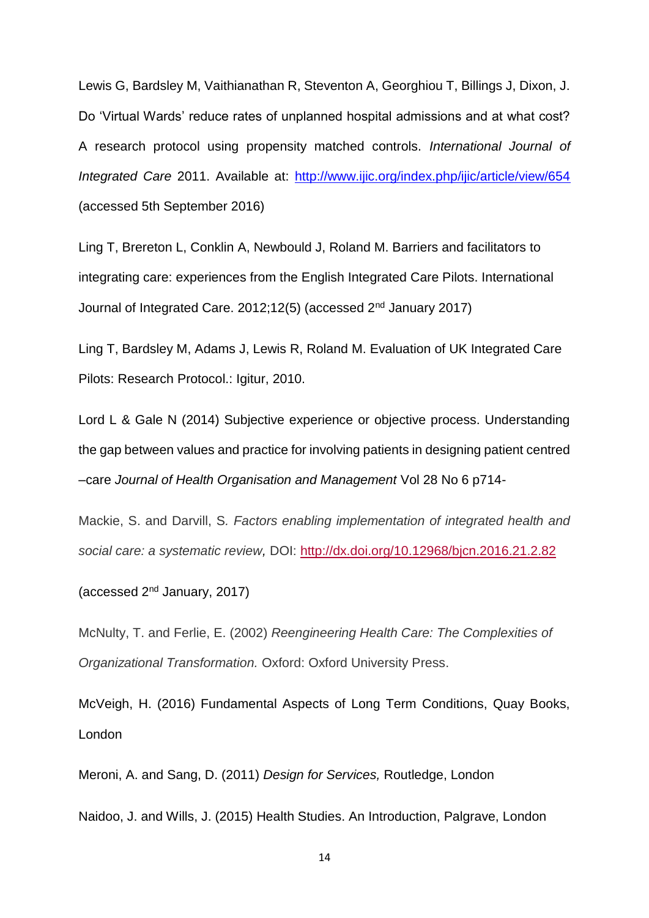Lewis G, Bardsley M, Vaithianathan R, Steventon A, Georghiou T, Billings J, Dixon, J. Do 'Virtual Wards' reduce rates of unplanned hospital admissions and at what cost? A research protocol using propensity matched controls. *International Journal of Integrated Care* 2011. Available at:<http://www.ijic.org/index.php/ijic/article/view/654> (accessed 5th September 2016)

Ling T, Brereton L, Conklin A, Newbould J, Roland M. Barriers and facilitators to integrating care: experiences from the English Integrated Care Pilots. International Journal of Integrated Care. 2012;12(5) (accessed 2nd January 2017)

Ling T, Bardsley M, Adams J, Lewis R, Roland M. Evaluation of UK Integrated Care Pilots: Research Protocol.: Igitur, 2010.

Lord L & Gale N (2014) Subjective experience or objective process. Understanding the gap between values and practice for involving patients in designing patient centred –care *Journal of Health Organisation and Management* Vol 28 No 6 p714-

Mackie, S. and Darvill, S*. Factors enabling implementation of integrated health and social care: a systematic review,* DOI: <http://dx.doi.org/10.12968/bjcn.2016.21.2.82>

(accessed 2nd January, 2017)

McNulty, T. and Ferlie, E. (2002) *Reengineering Health Care: The Complexities of Organizational Transformation.* Oxford: Oxford University Press.

McVeigh, H. (2016) Fundamental Aspects of Long Term Conditions, Quay Books, London

Meroni, A. and Sang, D. (2011) *Design for Services,* Routledge, London Naidoo, J. and Wills, J. (2015) Health Studies. An Introduction, Palgrave, London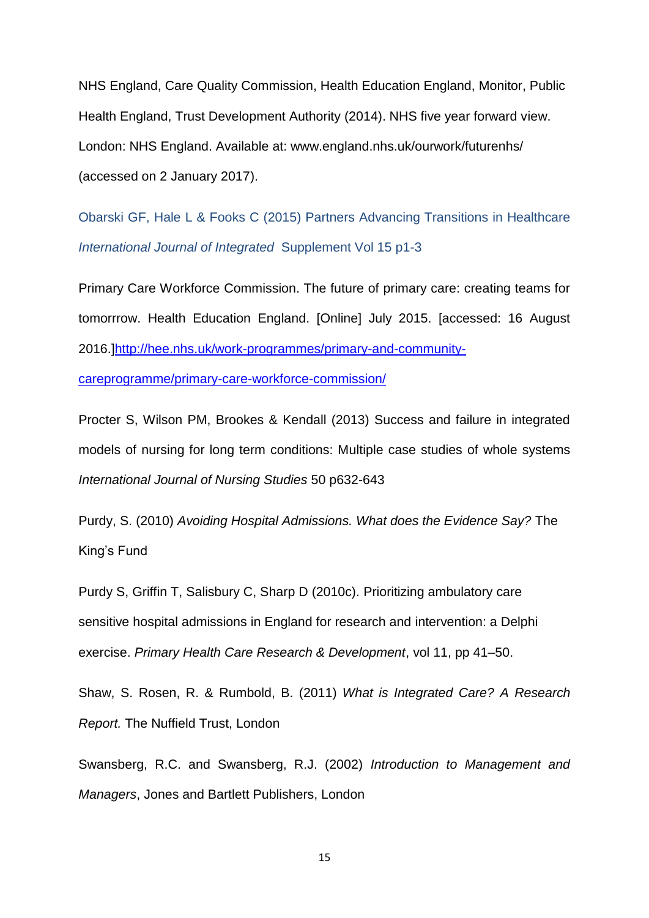NHS England, Care Quality Commission, Health Education England, Monitor, Public Health England, Trust Development Authority (2014). NHS five year forward view. London: NHS England. Available at: www.england.nhs.uk/ourwork/futurenhs/ (accessed on 2 January 2017).

Obarski GF, Hale L & Fooks C (2015) Partners Advancing Transitions in Healthcare *International Journal of Integrated* Supplement Vol 15 p1-3

Primary Care Workforce Commission. The future of primary care: creating teams for tomorrrow. Health Education England. [Online] July 2015. [accessed: 16 August 2016.[\]http://hee.nhs.uk/work-programmes/primary-and-community-](http://hee.nhs.uk/work-programmes/primary-and-community-careprogramme/primary-care-workforce-commission/)

[careprogramme/primary-care-workforce-commission/](http://hee.nhs.uk/work-programmes/primary-and-community-careprogramme/primary-care-workforce-commission/)

Procter S, Wilson PM, Brookes & Kendall (2013) Success and failure in integrated models of nursing for long term conditions: Multiple case studies of whole systems *International Journal of Nursing Studies* 50 p632-643

Purdy, S. (2010) *Avoiding Hospital Admissions. What does the Evidence Say?* The King's Fund

Purdy S, Griffin T, Salisbury C, Sharp D (2010c). Prioritizing ambulatory care sensitive hospital admissions in England for research and intervention: a Delphi exercise. *Primary Health Care Research & Development*, vol 11, pp 41–50.

Shaw, S. Rosen, R. & Rumbold, B. (2011) *What is Integrated Care? A Research Report.* The Nuffield Trust, London

Swansberg, R.C. and Swansberg, R.J. (2002) *Introduction to Management and Managers*, Jones and Bartlett Publishers, London